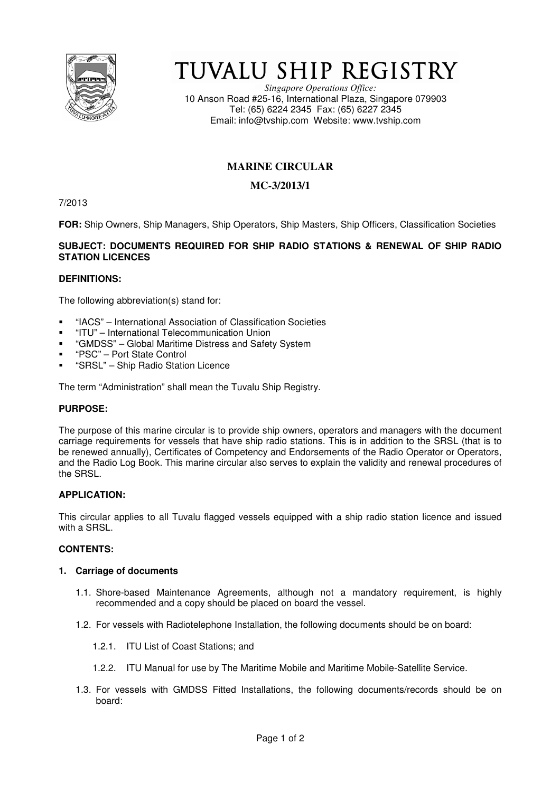

# TUVALU SHIP REGISTRY

*Singapore Operations Office:* 10 Anson Road #25-16, International Plaza, Singapore 079903 Tel: (65) 6224 2345 Fax: (65) 6227 2345 Email: info@tvship.com Website: www.tvship.com

# **MARINE CIRCULAR**

## **MC-3/2013/1**

7/2013

**FOR:** Ship Owners, Ship Managers, Ship Operators, Ship Masters, Ship Officers, Classification Societies

### **SUBJECT: DOCUMENTS REQUIRED FOR SHIP RADIO STATIONS & RENEWAL OF SHIP RADIO STATION LICENCES**

#### **DEFINITIONS:**

The following abbreviation(s) stand for:

- "IACS" International Association of Classification Societies
- "ITU" International Telecommunication Union
- "GMDSS" Global Maritime Distress and Safety System
- "PSC" Port State Control
- "SRSL" Ship Radio Station Licence

The term "Administration" shall mean the Tuvalu Ship Registry.

#### **PURPOSE:**

The purpose of this marine circular is to provide ship owners, operators and managers with the document carriage requirements for vessels that have ship radio stations. This is in addition to the SRSL (that is to be renewed annually), Certificates of Competency and Endorsements of the Radio Operator or Operators, and the Radio Log Book. This marine circular also serves to explain the validity and renewal procedures of the SRSL.

#### **APPLICATION:**

This circular applies to all Tuvalu flagged vessels equipped with a ship radio station licence and issued with a SRSL.

#### **CONTENTS:**

#### **1. Carriage of documents**

- 1.1. Shore-based Maintenance Agreements, although not a mandatory requirement, is highly recommended and a copy should be placed on board the vessel.
- 1.2. For vessels with Radiotelephone Installation, the following documents should be on board:
	- 1.2.1. ITU List of Coast Stations; and
	- 1.2.2. ITU Manual for use by The Maritime Mobile and Maritime Mobile-Satellite Service.
- 1.3. For vessels with GMDSS Fitted Installations, the following documents/records should be on board: